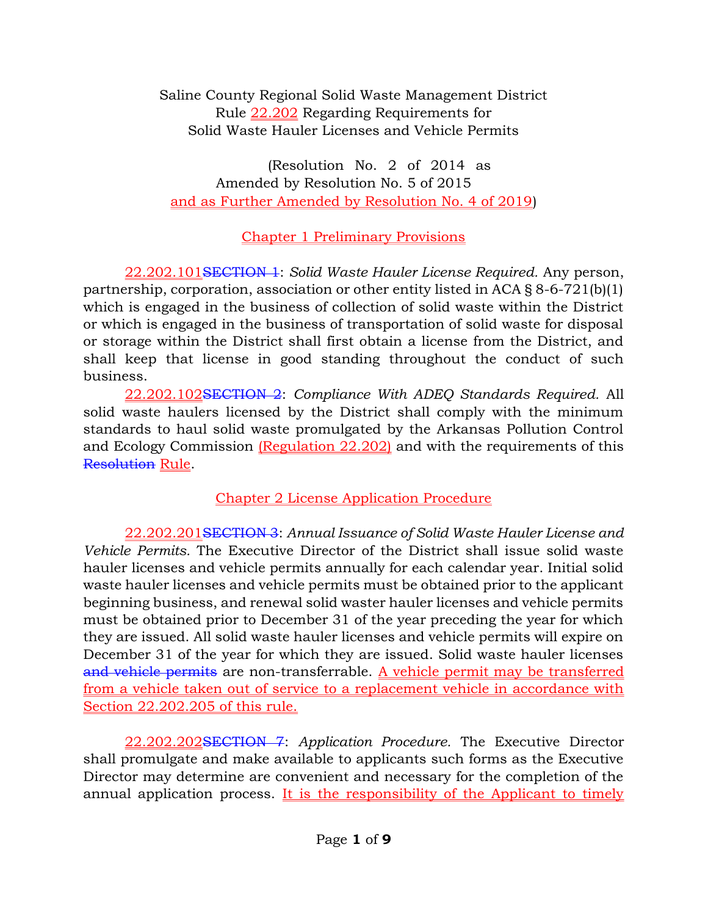Saline County Regional Solid Waste Management District Rule 22.202 Regarding Requirements for Solid Waste Hauler Licenses and Vehicle Permits

(Resolution No. 2 of 2014 as Amended by Resolution No. 5 of 2015 and as Further Amended by Resolution No. 4 of 2019)

## Chapter 1 Preliminary Provisions

22.202.101SECTION 1: Solid Waste Hauler License Required. Any person, partnership, corporation, association or other entity listed in ACA § 8-6-721(b)(1) which is engaged in the business of collection of solid waste within the District or which is engaged in the business of transportation of solid waste for disposal or storage within the District shall first obtain a license from the District, and shall keep that license in good standing throughout the conduct of such business.

22.202.102SECTION 2: Compliance With ADEQ Standards Required. All solid waste haulers licensed by the District shall comply with the minimum standards to haul solid waste promulgated by the Arkansas Pollution Control and Ecology Commission (Regulation 22.202) and with the requirements of this Resolution Rule.

## Chapter 2 License Application Procedure

22.202.201SECTION 3: Annual Issuance of Solid Waste Hauler License and Vehicle Permits. The Executive Director of the District shall issue solid waste hauler licenses and vehicle permits annually for each calendar year. Initial solid waste hauler licenses and vehicle permits must be obtained prior to the applicant beginning business, and renewal solid waster hauler licenses and vehicle permits must be obtained prior to December 31 of the year preceding the year for which they are issued. All solid waste hauler licenses and vehicle permits will expire on December 31 of the year for which they are issued. Solid waste hauler licenses and vehicle permits are non-transferrable. A vehicle permit may be transferred from a vehicle taken out of service to a replacement vehicle in accordance with Section 22.202.205 of this rule.

22.202.202SECTION 7: Application Procedure. The Executive Director shall promulgate and make available to applicants such forms as the Executive Director may determine are convenient and necessary for the completion of the annual application process. It is the responsibility of the Applicant to timely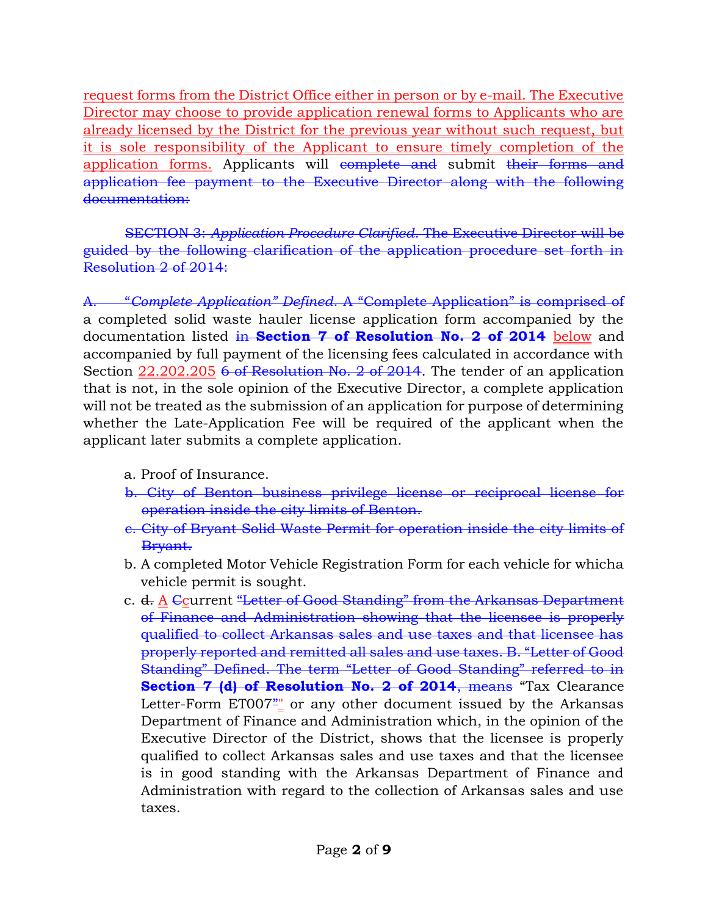request forms from the District Office either in person or by e-mail. The Executive Director may choose to provide application renewal forms to Applicants who are already licensed by the District for the previous year without such request, but it is sole responsibility of the Applicant to ensure timely completion of the application forms. Applicants will complete and submit their forms and application fee payment to the Executive Director along with the following documentation:

SECTION 3: Application Procedure Clarified. The Executive Director will be guided by the following clarification of the application procedure set forth in Resolution 2 of 2014:

"Complete Application" Defined. A "Complete Application" is comprised of a completed solid waste hauler license application form accompanied by the documentation listed in Section 7 of Resolution No. 2 of 2014 below and accompanied by full payment of the licensing fees calculated in accordance with Section 22.202.205 6 of Resolution No. 2 of 2014. The tender of an application that is not, in the sole opinion of the Executive Director, a complete application will not be treated as the submission of an application for purpose of determining whether the Late-Application Fee will be required of the applicant when the applicant later submits a complete application.

- a. Proof of Insurance.
- b. City of Benton business privilege license or reciprocal license for operation inside the city limits of Benton.
- c. City of Bryant Solid Waste Permit for operation inside the city limits of Bryant.
- b. A completed Motor Vehicle Registration Form for each vehicle for whicha vehicle permit is sought.
- c. d. A Ccurrent "Letter of Good Standing" from the Arkansas Department of Finance and Administration showing that the licensee is properly qualified to collect Arkansas sales and use taxes and that licensee has properly reported and remitted all sales and use taxes. B. "Letter of Good Standing" Defined. The term "Letter of Good Standing" referred to in Section 7 (d) of Resolution No. 2 of 2014, means "Tax Clearance Letter-Form ET007<sup>2</sup><sup>"</sup> or any other document issued by the Arkansas Department of Finance and Administration which, in the opinion of the Executive Director of the District, shows that the licensee is properly qualified to collect Arkansas sales and use taxes and that the licensee is in good standing with the Arkansas Department of Finance and Administration with regard to the collection of Arkansas sales and use taxes.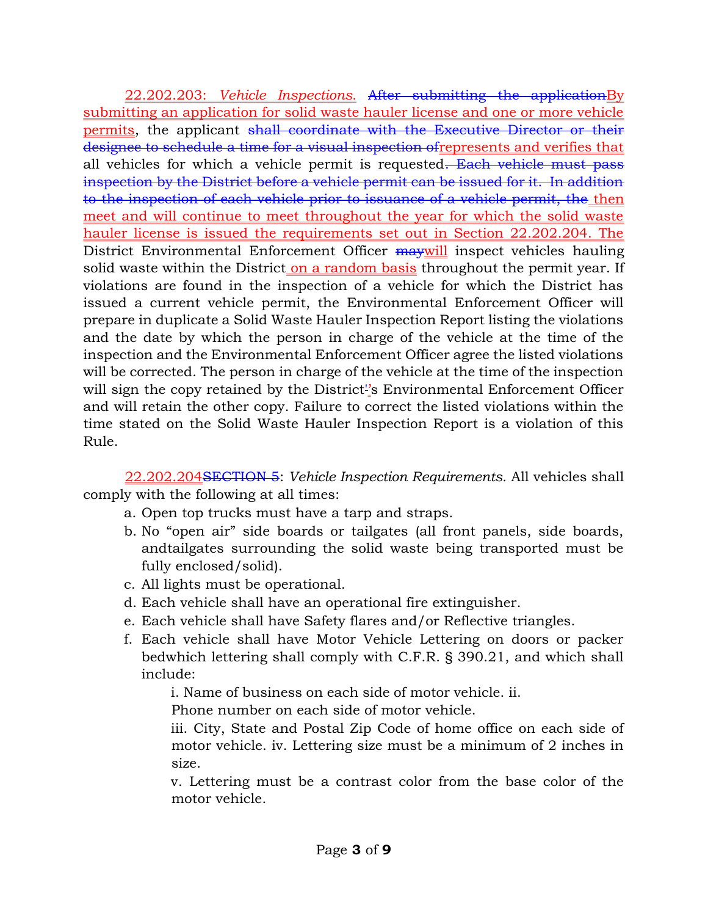22.202.203: Vehicle Inspections. After submitting the application By submitting an application for solid waste hauler license and one or more vehicle permits, the applicant shall coordinate with the Executive Director or their designee to schedule a time for a visual inspection ofrepresents and verifies that all vehicles for which a vehicle permit is requested. Each vehicle must pass inspection by the District before a vehicle permit can be issued for it. In addition to the inspection of each vehicle prior to issuance of a vehicle permit, the then meet and will continue to meet throughout the year for which the solid waste hauler license is issued the requirements set out in Section 22.202.204. The District Environmental Enforcement Officer maywill inspect vehicles hauling solid waste within the District on a random basis throughout the permit year. If violations are found in the inspection of a vehicle for which the District has issued a current vehicle permit, the Environmental Enforcement Officer will prepare in duplicate a Solid Waste Hauler Inspection Report listing the violations and the date by which the person in charge of the vehicle at the time of the inspection and the Environmental Enforcement Officer agree the listed violations will be corrected. The person in charge of the vehicle at the time of the inspection will sign the copy retained by the District<sup>1</sup>'s Environmental Enforcement Officer and will retain the other copy. Failure to correct the listed violations within the time stated on the Solid Waste Hauler Inspection Report is a violation of this Rule.

22.202.204SECTION 5: Vehicle Inspection Requirements. All vehicles shall comply with the following at all times:

- a. Open top trucks must have a tarp and straps.
- b. No "open air" side boards or tailgates (all front panels, side boards, andtailgates surrounding the solid waste being transported must be fully enclosed/solid).
- c. All lights must be operational.
- d. Each vehicle shall have an operational fire extinguisher.
- e. Each vehicle shall have Safety flares and/or Reflective triangles.
- f. Each vehicle shall have Motor Vehicle Lettering on doors or packer bedwhich lettering shall comply with C.F.R. § 390.21, and which shall include:

i. Name of business on each side of motor vehicle. ii.

Phone number on each side of motor vehicle.

iii. City, State and Postal Zip Code of home office on each side of motor vehicle. iv. Lettering size must be a minimum of 2 inches in size.

v. Lettering must be a contrast color from the base color of the motor vehicle.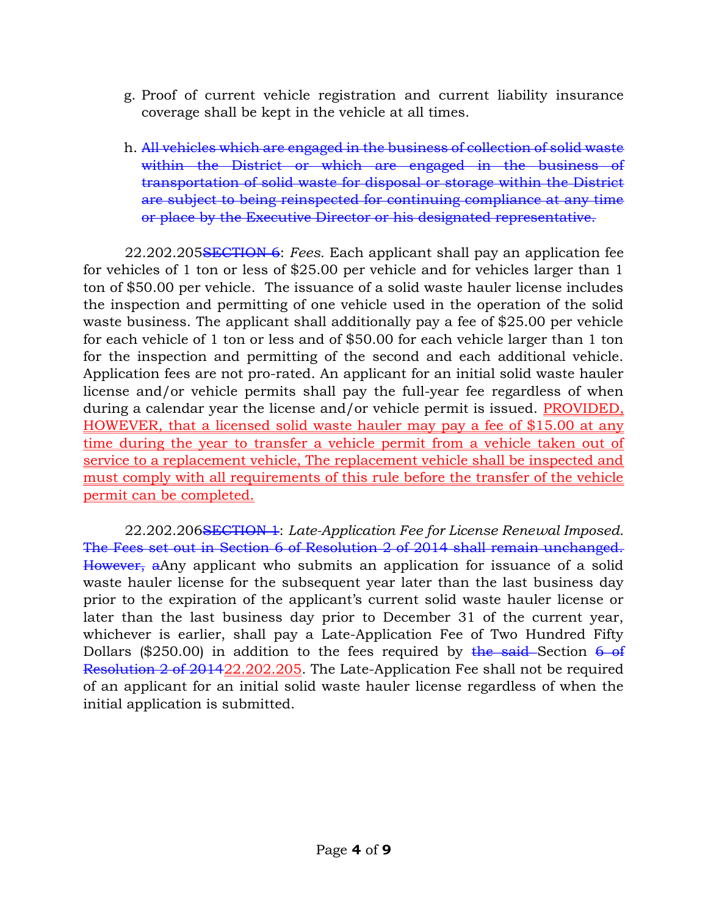- g. Proof of current vehicle registration and current liability insurance coverage shall be kept in the vehicle at all times.
- h. All vehicles which are engaged in the business of collection of solid waste within the District or which are engaged in the business of transportation of solid waste for disposal or storage within the District are subject to being reinspected for continuing compliance at any time or place by the Executive Director or his designated representative.

22.202.205SECTION 6: Fees. Each applicant shall pay an application fee for vehicles of 1 ton or less of \$25.00 per vehicle and for vehicles larger than 1 ton of \$50.00 per vehicle. The issuance of a solid waste hauler license includes the inspection and permitting of one vehicle used in the operation of the solid waste business. The applicant shall additionally pay a fee of \$25.00 per vehicle for each vehicle of 1 ton or less and of \$50.00 for each vehicle larger than 1 ton for the inspection and permitting of the second and each additional vehicle. Application fees are not pro-rated. An applicant for an initial solid waste hauler license and/or vehicle permits shall pay the full-year fee regardless of when during a calendar year the license and/or vehicle permit is issued. PROVIDED, HOWEVER, that a licensed solid waste hauler may pay a fee of \$15.00 at any time during the year to transfer a vehicle permit from a vehicle taken out of service to a replacement vehicle, The replacement vehicle shall be inspected and must comply with all requirements of this rule before the transfer of the vehicle permit can be completed.

22.202.206SECTION 1: Late-Application Fee for License Renewal Imposed. The Fees set out in Section 6 of Resolution 2 of 2014 shall remain unchanged. However, aAny applicant who submits an application for issuance of a solid waste hauler license for the subsequent year later than the last business day prior to the expiration of the applicant's current solid waste hauler license or later than the last business day prior to December 31 of the current year, whichever is earlier, shall pay a Late-Application Fee of Two Hundred Fifty Dollars (\$250.00) in addition to the fees required by the said-Section  $6-6f$ Resolution 2 of 201422.202.205. The Late-Application Fee shall not be required of an applicant for an initial solid waste hauler license regardless of when the initial application is submitted.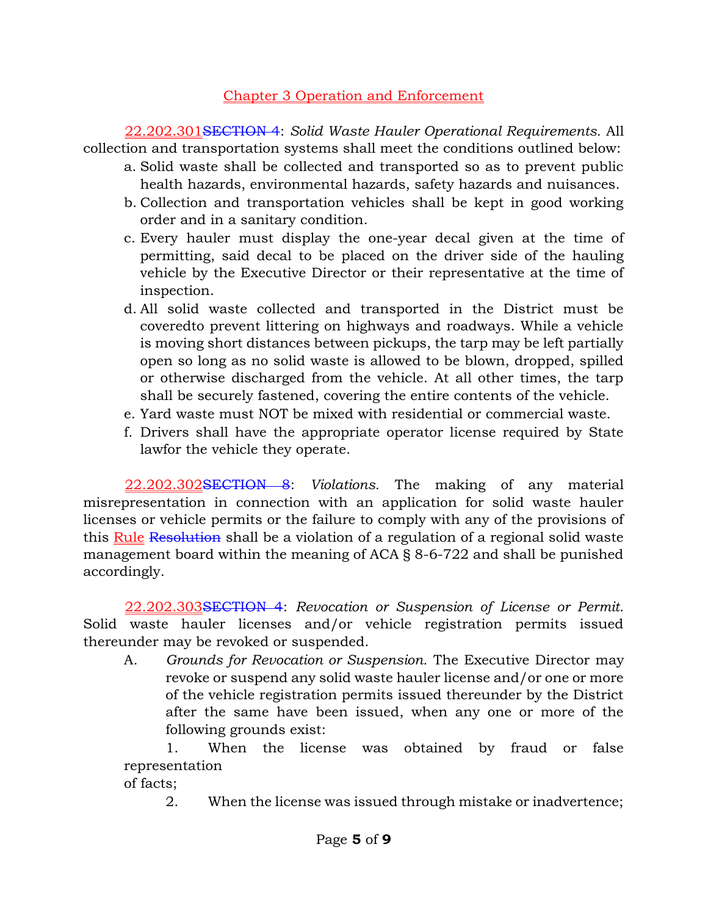## Chapter 3 Operation and Enforcement

22.202.301SECTION 4: Solid Waste Hauler Operational Requirements. All collection and transportation systems shall meet the conditions outlined below:

- a. Solid waste shall be collected and transported so as to prevent public health hazards, environmental hazards, safety hazards and nuisances.
- b. Collection and transportation vehicles shall be kept in good working order and in a sanitary condition.
- c. Every hauler must display the one-year decal given at the time of permitting, said decal to be placed on the driver side of the hauling vehicle by the Executive Director or their representative at the time of inspection.
- d. All solid waste collected and transported in the District must be coveredto prevent littering on highways and roadways. While a vehicle is moving short distances between pickups, the tarp may be left partially open so long as no solid waste is allowed to be blown, dropped, spilled or otherwise discharged from the vehicle. At all other times, the tarp shall be securely fastened, covering the entire contents of the vehicle.
- e. Yard waste must NOT be mixed with residential or commercial waste.
- f. Drivers shall have the appropriate operator license required by State lawfor the vehicle they operate.

22.202.302SECTION 8: Violations. The making of any material misrepresentation in connection with an application for solid waste hauler licenses or vehicle permits or the failure to comply with any of the provisions of this Rule Resolution shall be a violation of a regulation of a regional solid waste management board within the meaning of ACA § 8-6-722 and shall be punished accordingly.

22.202.303SECTION 4: Revocation or Suspension of License or Permit. Solid waste hauler licenses and/or vehicle registration permits issued thereunder may be revoked or suspended.

A. Grounds for Revocation or Suspension. The Executive Director may revoke or suspend any solid waste hauler license and/or one or more of the vehicle registration permits issued thereunder by the District after the same have been issued, when any one or more of the following grounds exist:

1. When the license was obtained by fraud or false representation

of facts;

2. When the license was issued through mistake or inadvertence;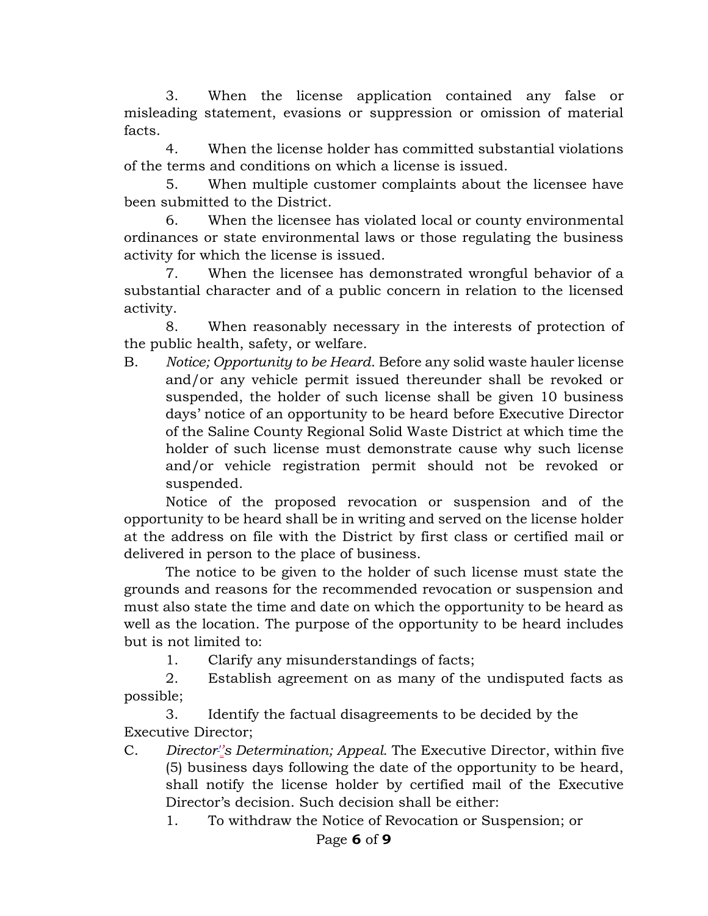3. When the license application contained any false or misleading statement, evasions or suppression or omission of material facts.

4. When the license holder has committed substantial violations of the terms and conditions on which a license is issued.

5. When multiple customer complaints about the licensee have been submitted to the District.

6. When the licensee has violated local or county environmental ordinances or state environmental laws or those regulating the business activity for which the license is issued.

7. When the licensee has demonstrated wrongful behavior of a substantial character and of a public concern in relation to the licensed activity.

8. When reasonably necessary in the interests of protection of the public health, safety, or welfare.

B. Notice; Opportunity to be Heard. Before any solid waste hauler license and/or any vehicle permit issued thereunder shall be revoked or suspended, the holder of such license shall be given 10 business days' notice of an opportunity to be heard before Executive Director of the Saline County Regional Solid Waste District at which time the holder of such license must demonstrate cause why such license and/or vehicle registration permit should not be revoked or suspended.

Notice of the proposed revocation or suspension and of the opportunity to be heard shall be in writing and served on the license holder at the address on file with the District by first class or certified mail or delivered in person to the place of business.

The notice to be given to the holder of such license must state the grounds and reasons for the recommended revocation or suspension and must also state the time and date on which the opportunity to be heard as well as the location. The purpose of the opportunity to be heard includes but is not limited to:

1. Clarify any misunderstandings of facts;

2. Establish agreement on as many of the undisputed facts as possible;

3. Identify the factual disagreements to be decided by the Executive Director;

C. Director''s Determination; Appeal. The Executive Director, within five (5) business days following the date of the opportunity to be heard, shall notify the license holder by certified mail of the Executive Director's decision. Such decision shall be either:

1. To withdraw the Notice of Revocation or Suspension; or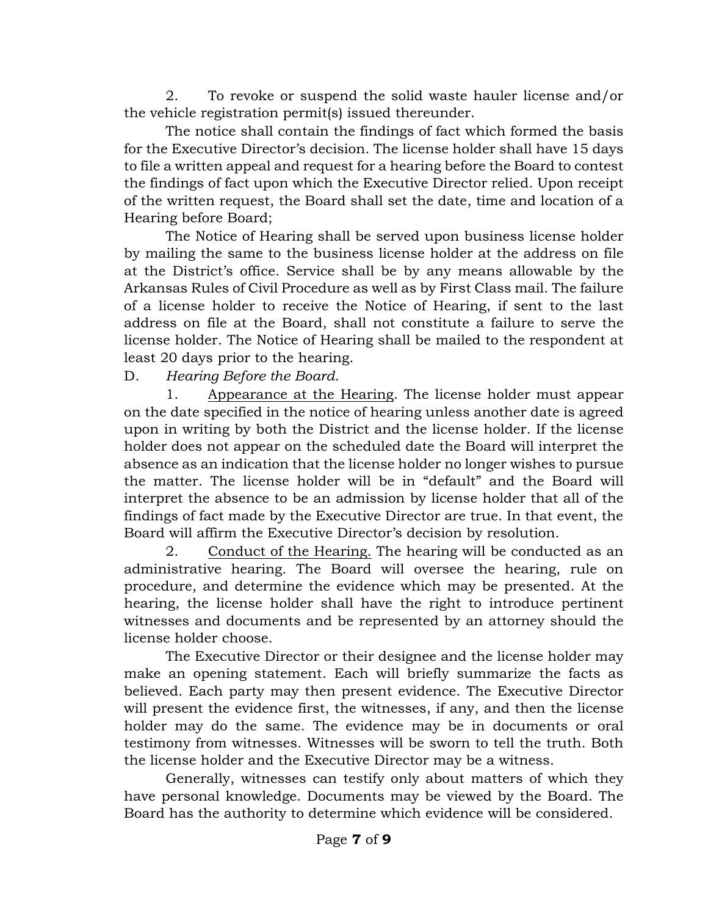2. To revoke or suspend the solid waste hauler license and/or the vehicle registration permit(s) issued thereunder.

The notice shall contain the findings of fact which formed the basis for the Executive Director's decision. The license holder shall have 15 days to file a written appeal and request for a hearing before the Board to contest the findings of fact upon which the Executive Director relied. Upon receipt of the written request, the Board shall set the date, time and location of a Hearing before Board;

The Notice of Hearing shall be served upon business license holder by mailing the same to the business license holder at the address on file at the District's office. Service shall be by any means allowable by the Arkansas Rules of Civil Procedure as well as by First Class mail. The failure of a license holder to receive the Notice of Hearing, if sent to the last address on file at the Board, shall not constitute a failure to serve the license holder. The Notice of Hearing shall be mailed to the respondent at least 20 days prior to the hearing.

D. Hearing Before the Board.

1. Appearance at the Hearing. The license holder must appear on the date specified in the notice of hearing unless another date is agreed upon in writing by both the District and the license holder. If the license holder does not appear on the scheduled date the Board will interpret the absence as an indication that the license holder no longer wishes to pursue the matter. The license holder will be in "default" and the Board will interpret the absence to be an admission by license holder that all of the findings of fact made by the Executive Director are true. In that event, the Board will affirm the Executive Director's decision by resolution.

2. Conduct of the Hearing. The hearing will be conducted as an administrative hearing. The Board will oversee the hearing, rule on procedure, and determine the evidence which may be presented. At the hearing, the license holder shall have the right to introduce pertinent witnesses and documents and be represented by an attorney should the license holder choose.

The Executive Director or their designee and the license holder may make an opening statement. Each will briefly summarize the facts as believed. Each party may then present evidence. The Executive Director will present the evidence first, the witnesses, if any, and then the license holder may do the same. The evidence may be in documents or oral testimony from witnesses. Witnesses will be sworn to tell the truth. Both the license holder and the Executive Director may be a witness.

Generally, witnesses can testify only about matters of which they have personal knowledge. Documents may be viewed by the Board. The Board has the authority to determine which evidence will be considered.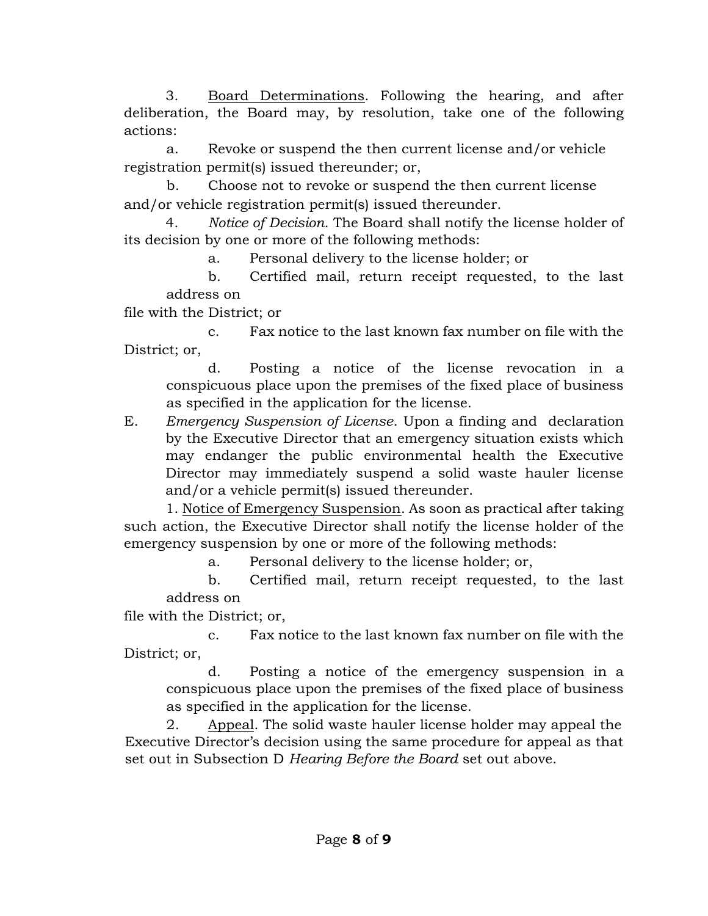3. Board Determinations. Following the hearing, and after deliberation, the Board may, by resolution, take one of the following actions:

a. Revoke or suspend the then current license and/or vehicle registration permit(s) issued thereunder; or,

b. Choose not to revoke or suspend the then current license and/or vehicle registration permit(s) issued thereunder.

4. Notice of Decision. The Board shall notify the license holder of its decision by one or more of the following methods:

a. Personal delivery to the license holder; or

b. Certified mail, return receipt requested, to the last address on

file with the District; or

c. Fax notice to the last known fax number on file with the District; or,

d. Posting a notice of the license revocation in a conspicuous place upon the premises of the fixed place of business as specified in the application for the license.

E. Emergency Suspension of License. Upon a finding and declaration by the Executive Director that an emergency situation exists which may endanger the public environmental health the Executive Director may immediately suspend a solid waste hauler license and/or a vehicle permit(s) issued thereunder.

1. Notice of Emergency Suspension. As soon as practical after taking such action, the Executive Director shall notify the license holder of the emergency suspension by one or more of the following methods:

a. Personal delivery to the license holder; or,

b. Certified mail, return receipt requested, to the last address on

file with the District; or,

c. Fax notice to the last known fax number on file with the District; or,

d. Posting a notice of the emergency suspension in a conspicuous place upon the premises of the fixed place of business as specified in the application for the license.

2. Appeal. The solid waste hauler license holder may appeal the Executive Director's decision using the same procedure for appeal as that set out in Subsection D Hearing Before the Board set out above.